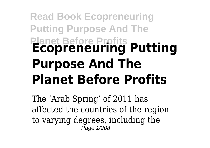## **Read Book Ecopreneuring Putting Purpose And The Planet Before Profits Ecopreneuring Putting Purpose And The Planet Before Profits**

The 'Arab Spring' of 2011 has affected the countries of the region to varying degrees, including the Page 1/208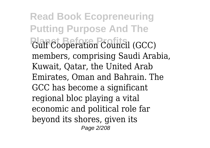**Read Book Ecopreneuring Putting Purpose And The Palaceuse Gulf Cooperation Council (GCC)** members, comprising Saudi Arabia, Kuwait, Qatar, the United Arab Emirates, Oman and Bahrain. The GCC has become a significant regional bloc playing a vital economic and political role far beyond its shores, given its Page 2/208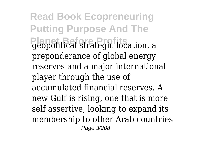**Read Book Ecopreneuring Putting Purpose And The Planet Before Profits** geopolitical strategic location, a preponderance of global energy reserves and a major international player through the use of accumulated financial reserves. A new Gulf is rising, one that is more self assertive, looking to expand its membership to other Arab countries Page 3/208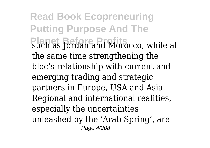**Read Book Ecopreneuring Putting Purpose And The Planet Before and Morocco, while at** the same time strengthening the bloc's relationship with current and emerging trading and strategic partners in Europe, USA and Asia. Regional and international realities, especially the uncertainties unleashed by the 'Arab Spring', are Page 4/208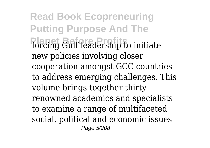**Read Book Ecopreneuring Putting Purpose And The** forcing Gulf leadership to initiate new policies involving closer cooperation amongst GCC countries to address emerging challenges. This volume brings together thirty renowned academics and specialists to examine a range of multifaceted social, political and economic issues Page 5/208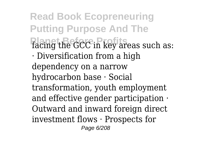**Read Book Ecopreneuring Putting Purpose And The** facing the GCC in key areas such as: · Diversification from a high dependency on a narrow hydrocarbon base · Social transformation, youth employment and effective gender participation · Outward and inward foreign direct investment flows · Prospects for Page 6/208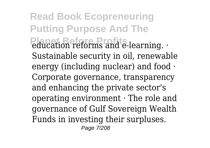**Read Book Ecopreneuring Putting Purpose And The Peducation reforms and e-learning. ·** Sustainable security in oil, renewable energy (including nuclear) and food · Corporate governance, transparency and enhancing the private sector's operating environment · The role and governance of Gulf Sovereign Wealth Funds in investing their surpluses. Page 7/208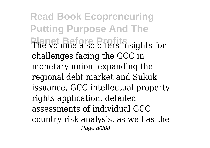**Read Book Ecopreneuring Putting Purpose And The Planet Before Profits** The volume also offers insights for challenges facing the GCC in monetary union, expanding the regional debt market and Sukuk issuance, GCC intellectual property rights application, detailed assessments of individual GCC country risk analysis, as well as the Page 8/208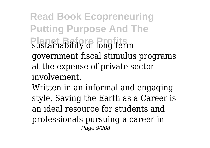**Read Book Ecopreneuring Putting Purpose And The Planet Before Profits** sustainability of long term government fiscal stimulus programs at the expense of private sector involvement.

Written in an informal and engaging style, Saving the Earth as a Career is an ideal resource for students and professionals pursuing a career in Page 9/208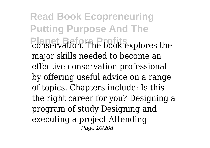**Read Book Ecopreneuring Putting Purpose And The Policianet Before Profits** conservation. The book explores the major skills needed to become an effective conservation professional by offering useful advice on a range of topics. Chapters include: Is this the right career for you? Designing a program of study Designing and executing a project Attending Page 10/208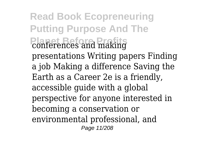**Read Book Ecopreneuring Putting Purpose And The Planet Before Profits** conferences and making presentations Writing papers Finding a job Making a difference Saving the Earth as a Career 2e is a friendly, accessible guide with a global perspective for anyone interested in becoming a conservation or environmental professional, and Page 11/208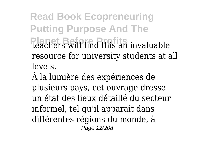**Read Book Ecopreneuring Putting Purpose And The Planet Before Profits** teachers will find this an invaluable resource for university students at all levels.

À la lumière des expériences de plusieurs pays, cet ouvrage dresse un état des lieux détaillé du secteur informel, tel qu'il apparait dans différentes régions du monde, à Page 12/208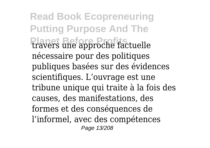**Read Book Ecopreneuring Putting Purpose And The Planet Before Profits** travers une approche factuelle nécessaire pour des politiques publiques basées sur des évidences scientifiques. L'ouvrage est une tribune unique qui traite à la fois des causes, des manifestations, des formes et des conséquences de l'informel, avec des compétences Page 13/208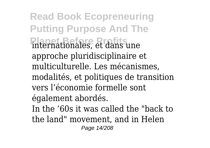**Read Book Ecopreneuring Putting Purpose And The Planet Before Profits** internationales, et dans une approche pluridisciplinaire et multiculturelle. Les mécanismes, modalités, et politiques de transition vers l'économie formelle sont également abordés. In the '60s it was called the "back to the land" movement, and in Helen Page 14/208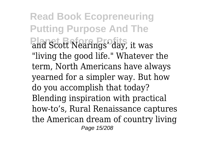**Read Book Ecopreneuring Putting Purpose And The Pand Scott Nearings' day, it was** "living the good life." Whatever the term, North Americans have always yearned for a simpler way. But how do you accomplish that today? Blending inspiration with practical how-to's, Rural Renaissance captures the American dream of country living Page 15/208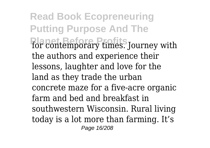**Read Book Ecopreneuring Putting Purpose And The** for contemporary times. Journey with the authors and experience their lessons, laughter and love for the land as they trade the urban concrete maze for a five-acre organic farm and bed and breakfast in southwestern Wisconsin. Rural living today is a lot more than farming. It's Page 16/208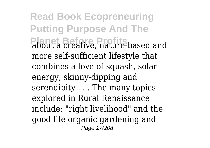**Read Book Ecopreneuring Putting Purpose And The Planet Before Profits** about a creative, nature-based and more self-sufficient lifestyle that combines a love of squash, solar energy, skinny-dipping and serendipity . . . The many topics explored in Rural Renaissance include: "right livelihood" and the good life organic gardening and Page 17/208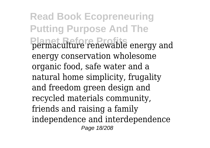**Read Book Ecopreneuring Putting Purpose And The Planet Before Profits** permaculture renewable energy and energy conservation wholesome organic food, safe water and a natural home simplicity, frugality and freedom green design and recycled materials community, friends and raising a family independence and interdependence Page 18/208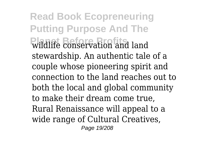**Read Book Ecopreneuring Putting Purpose And The Planet Before Profits** wildlife conservation and land stewardship. An authentic tale of a couple whose pioneering spirit and connection to the land reaches out to both the local and global community to make their dream come true, Rural Renaissance will appeal to a wide range of Cultural Creatives, Page 19/208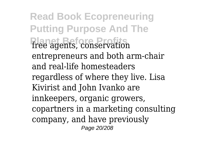**Read Book Ecopreneuring Putting Purpose And The Planet Before Profits** free agents, conservation entrepreneurs and both arm-chair and real-life homesteaders regardless of where they live. Lisa Kivirist and John Ivanko are innkeepers, organic growers, copartners in a marketing consulting company, and have previously Page 20/208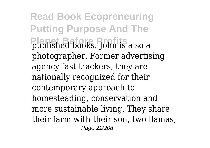**Read Book Ecopreneuring Putting Purpose And The Planet Before Profits** published books. John is also a photographer. Former advertising agency fast-trackers, they are nationally recognized for their contemporary approach to homesteading, conservation and more sustainable living. They share their farm with their son, two llamas, Page 21/208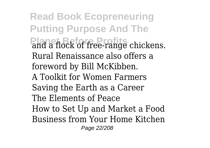**Read Book Ecopreneuring Putting Purpose And The** and a flock of free-range chickens. Rural Renaissance also offers a foreword by Bill McKibben. A Toolkit for Women Farmers Saving the Earth as a Career The Elements of Peace How to Set Up and Market a Food Business from Your Home Kitchen Page 22/208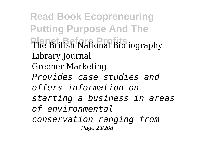**Read Book Ecopreneuring Putting Purpose And The Planet Before Profits** The British National Bibliography Library Journal Greener Marketing *Provides case studies and offers information on starting a business in areas of environmental conservation ranging from* Page 23/208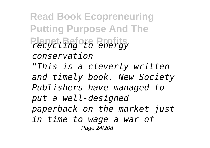**Read Book Ecopreneuring Putting Purpose And The Planet Before Profits** *recycling to energy conservation "This is a cleverly written and timely book. New Society Publishers have managed to put a well-designed paperback on the market just in time to wage a war of* Page 24/208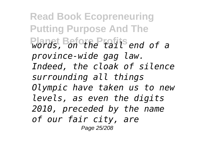**Read Book Ecopreneuring Putting Purpose And The Planet Before Profits** *words, on the tail end of a province-wide gag law. Indeed, the cloak of silence surrounding all things Olympic have taken us to new levels, as even the digits 2010, preceded by the name of our fair city, are* Page 25/208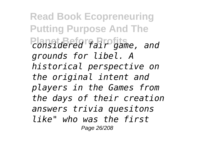**Read Book Ecopreneuring Putting Purpose And The Planet Before Profits** *considered fair game, and grounds for libel. A historical perspective on the original intent and players in the Games from the days of their creation answers trivia quesitons like" who was the first* Page 26/208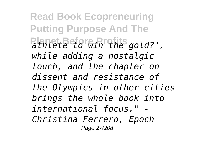**Read Book Ecopreneuring Putting Purpose And The Planet Before Profits** *athlete to win the gold?", while adding a nostalgic touch, and the chapter on dissent and resistance of the Olympics in other cities brings the whole book into international focus." - Christina Ferrero, Epoch* Page 27/208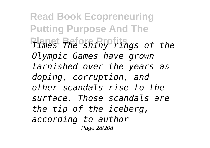**Read Book Ecopreneuring Putting Purpose And The Planet Before Profits** *Times The shiny rings of the Olympic Games have grown tarnished over the years as doping, corruption, and other scandals rise to the surface. Those scandals are the tip of the iceberg, according to author* Page 28/208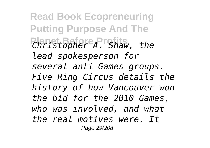**Read Book Ecopreneuring Putting Purpose And The Planet Before Profits** *Christopher A. Shaw, the lead spokesperson for several anti-Games groups. Five Ring Circus details the history of how Vancouver won the bid for the 2010 Games, who was involved, and what the real motives were. It* Page 29/208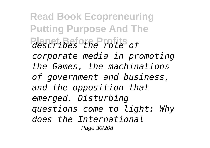**Read Book Ecopreneuring Putting Purpose And The Planet Before Profits** *describes the role of corporate media in promoting the Games, the machinations of government and business, and the opposition that emerged. Disturbing questions come to light: Why does the International* Page 30/208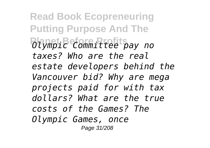**Read Book Ecopreneuring Putting Purpose And The Planet Before Profits** *Olympic Committee pay no taxes? Who are the real estate developers behind the Vancouver bid? Why are mega projects paid for with tax dollars? What are the true costs of the Games? The Olympic Games, once* Page 31/208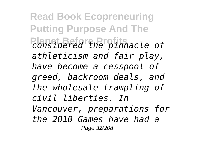**Read Book Ecopreneuring Putting Purpose And The Planet Before Profits** *considered the pinnacle of athleticism and fair play, have become a cesspool of greed, backroom deals, and the wholesale trampling of civil liberties. In Vancouver, preparations for the 2010 Games have had a* Page 32/208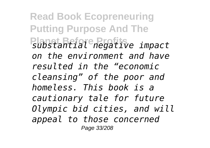**Read Book Ecopreneuring Putting Purpose And The Planet Before Profits** *substantial negative impact on the environment and have resulted in the "economic cleansing" of the poor and homeless. This book is a cautionary tale for future Olympic bid cities, and will appeal to those concerned* Page 33/208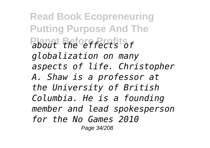**Read Book Ecopreneuring Putting Purpose And The Planet Before Profits** *about the effects of globalization on many aspects of life. Christopher A. Shaw is a professor at the University of British Columbia. He is a founding member and lead spokesperson for the No Games 2010* Page 34/208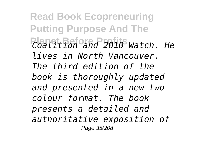**Read Book Ecopreneuring Putting Purpose And The Planet Before Profits** *Coalition and 2010 Watch. He lives in North Vancouver. The third edition of the book is thoroughly updated and presented in a new twocolour format. The book presents a detailed and authoritative exposition of* Page 35/208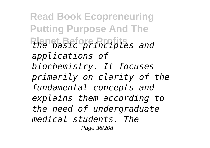**Read Book Ecopreneuring Putting Purpose And The Planet Before Profits** *the basic principles and applications of biochemistry. It focuses primarily on clarity of the fundamental concepts and explains them according to the need of undergraduate medical students. The* Page 36/208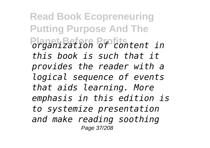**Read Book Ecopreneuring Putting Purpose And The Planet Before Profits** *organization of content in this book is such that it provides the reader with a logical sequence of events that aids learning. More emphasis in this edition is to systemize presentation and make reading soothing* Page 37/208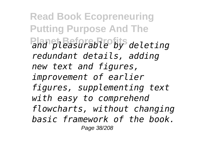**Read Book Ecopreneuring Putting Purpose And The Planet Before Profits** *and pleasurable by deleting redundant details, adding new text and figures, improvement of earlier figures, supplementing text with easy to comprehend flowcharts, without changing basic framework of the book.* Page 38/208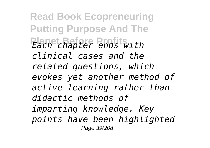**Read Book Ecopreneuring Putting Purpose And The Planet Before Profits** *Each chapter ends with clinical cases and the related questions, which evokes yet another method of active learning rather than didactic methods of imparting knowledge. Key points have been highlighted* Page 39/208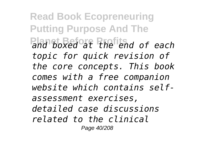**Read Book Ecopreneuring Putting Purpose And The Planet Before Profits** *and boxed at the end of each topic for quick revision of the core concepts. This book comes with a free companion website which contains selfassessment exercises, detailed case discussions related to the clinical* Page 40/208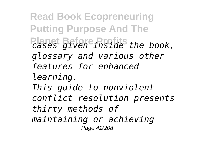**Read Book Ecopreneuring Putting Purpose And The Planet Before Profits** *cases given inside the book, glossary and various other features for enhanced learning. This guide to nonviolent conflict resolution presents thirty methods of maintaining or achieving* Page 41/208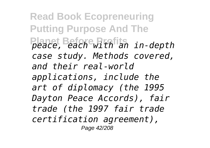**Read Book Ecopreneuring Putting Purpose And The Planet Before Profits** *peace, each with an in-depth case study. Methods covered, and their real-world applications, include the art of diplomacy (the 1995 Dayton Peace Accords), fair trade (the 1997 fair trade certification agreement),* Page 42/208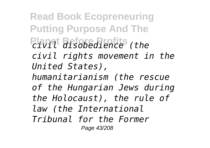**Read Book Ecopreneuring Putting Purpose And The Planet Before Profits** *civil disobedience (the civil rights movement in the United States), humanitarianism (the rescue of the Hungarian Jews during the Holocaust), the rule of law (the International Tribunal for the Former* Page 43/208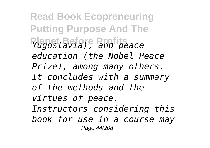**Read Book Ecopreneuring Putting Purpose And The Planet Before Profits** *Yugoslavia), and peace education (the Nobel Peace Prize), among many others. It concludes with a summary of the methods and the virtues of peace. Instructors considering this book for use in a course may* Page 44/208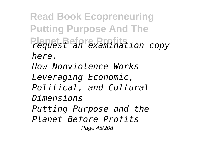**Read Book Ecopreneuring Putting Purpose And The Planet Before Profits** *request an examination copy here. How Nonviolence Works Leveraging Economic, Political, and Cultural Dimensions Putting Purpose and the Planet Before Profits* Page 45/208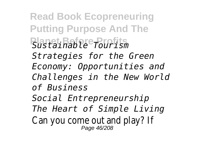**Read Book Ecopreneuring Putting Purpose And The Planet Before Profits** *Sustainable Tourism Strategies for the Green Economy: Opportunities and Challenges in the New World of Business Social Entrepreneurship The Heart of Simple Living* Can you come out and play? If Page 46/208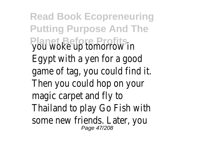**Read Book Ecopreneuring Putting Purpose And The Planet Before Profits** you woke up tomorrow in Egypt with a yen for a good game of tag, you could find it. Then you could hop on your magic carpet and fly to Thailand to play Go Fish with some new friends. Later, you Page 47/208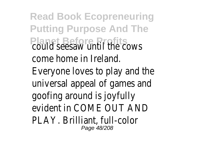**Read Book Ecopreneuring Putting Purpose And The Planet Before Profits** could seesaw until the cows come home in Ireland. Everyone loves to play and the universal appeal of games and goofing around is joyfully evident in COME OUT AND PLAY. Brilliant, full-color Page 48/208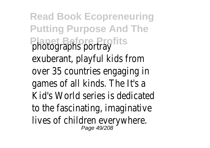**Read Book Ecopreneuring Putting Purpose And The Planet Before Profits** photographs portray exuberant, playful kids from over 35 countries engaging in games of all kinds. The It's a Kid's World series is dedicated to the fascinating, imaginative lives of children everywhere. Page 49/208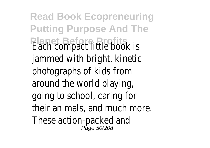**Read Book Ecopreneuring Putting Purpose And The Planet Before Profits** Each compact little book is jammed with bright, kinetic photographs of kids from around the world playing, going to school, caring for their animals, and much more. These action-packed and<br><sup>Page 50/208</sup>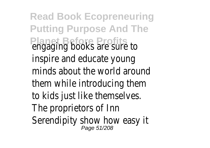**Read Book Ecopreneuring Putting Purpose And The Planet Before Profits**<br> **Planet Before Profits**<br> **Planet Before Sure to** inspire and educate young minds about the world around them while introducing them to kids just like themselves. The proprietors of Inn Serendipity show how easy it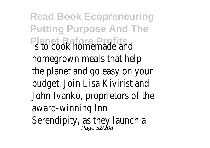**Read Book Ecopreneuring Putting Purpose And The Planet Before Profits** is to cook homemade and homegrown meals that help the planet and go easy on your budget. Join Lisa Kivirist and John Ivanko, proprietors of the award-winning Inn Serendipity, as they launch a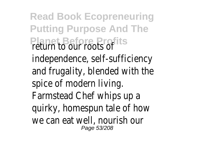**Read Book Ecopreneuring Putting Purpose And The Planet Before Profits** return to our roots of independence, self-sufficiency and frugality, blended with the spice of modern living. Farmstead Chef whips up a quirky, homespun tale of how we can eat well, nourish our Page 53/208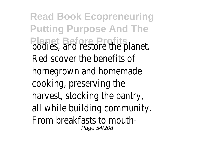**Read Book Ecopreneuring Putting Purpose And The Planet Before Profits** bodies, and restore the planet. Rediscover the benefits of homegrown and homemade cooking, preserving the harvest, stocking the pantry, all while building community. From breakfasts to mouth-Page 54/208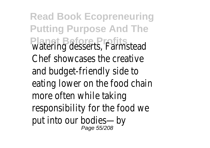**Read Book Ecopreneuring Putting Purpose And The Planet Before Profits** watering desserts, Farmstead Chef showcases the creative and budget-friendly side to eating lower on the food chain more often while taking responsibility for the food we put into our bodies—by Page 55/208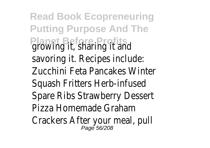**Read Book Ecopreneuring Putting Purpose And The Planet Before Profits** growing it, sharing it and savoring it. Recipes include: Zucchini Feta Pancakes Winter Squash Fritters Herb-infused Spare Ribs Strawberry Dessert Pizza Homemade Graham Crackers After your meal, pull Page 56/208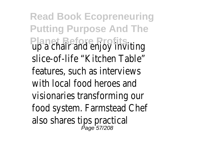**Read Book Ecopreneuring Putting Purpose And The Planet Before Profits** up a chair and enjoy inviting slice-of-life "Kitchen Table" features, such as interviews with local food heroes and visionaries transforming our food system. Farmstead Chef also shares tips practical Page 57/208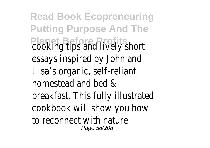**Read Book Ecopreneuring Putting Purpose And The Planet Before Profits** cooking tips and lively short essays inspired by John and Lisa's organic, self-reliant homestead and bed & breakfast. This fully illustrated cookbook will show you how to reconnect with nature Page 58/208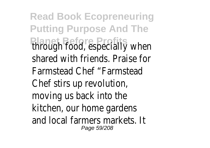**Read Book Ecopreneuring Putting Purpose And The Planet Before Profits** through food, especially when shared with friends. Praise for Farmstead Chef "Farmstead Chef stirs up revolution, moving us back into the kitchen, our home gardens and local farmers markets. It Page 59/208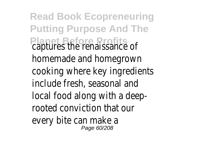**Read Book Ecopreneuring Putting Purpose And The Planet Before Profits** captures the renaissance of homemade and homegrown cooking where key ingredients include fresh, seasonal and local food along with a deeprooted conviction that our every bite can make a Page 60/208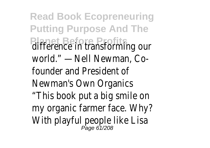**Read Book Ecopreneuring Putting Purpose And The Planet Before Profits** difference in transforming our world." —Nell Newman, Cofounder and President of Newman's Own Organics "This book put a big smile on my organic farmer face. Why? With playful people like Lisa<br><sup>Page 61/208</sup>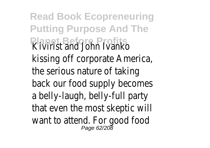**Read Book Ecopreneuring Putting Purpose And The Planet Before Profits** Kivirist and John Ivanko kissing off corporate America, the serious nature of taking back our food supply becomes a belly-laugh, belly-full party that even the most skeptic will want to attend. For good food Page 62/208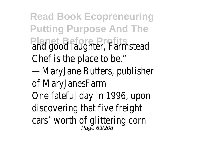**Read Book Ecopreneuring Putting Purpose And The Planet Before Profits** and good laughter, Farmstead Chef is the place to be." —MaryJane Butters, publisher of MaryJanesFarm One fateful day in 1996, upon discovering that five freight cars' worth of glittering corn<br>Page 63/208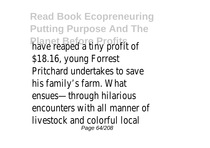**Read Book Ecopreneuring Putting Purpose And The Planet Before Profits** have reaped a tiny profit of \$18.16, young Forrest Pritchard undertakes to save his family's farm. What ensues—through hilarious encounters with all manner of livestock and colorful local Page 64/208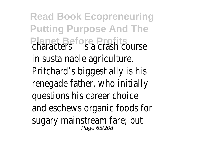**Read Book Ecopreneuring Putting Purpose And The Planet Before Profits** characters—is a crash course in sustainable agriculture. Pritchard's biggest ally is his renegade father, who initially questions his career choice and eschews organic foods for sugary mainstream fare; but Page 65/208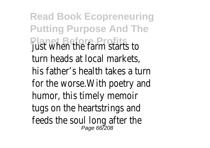**Read Book Ecopreneuring Putting Purpose And The Planet Before Profits** just when the farm starts to turn heads at local markets, his father's health takes a turn for the worse.With poetry and humor, this timely memoir tugs on the heartstrings and feeds the soul long after the<br> $\frac{Page 66/208}{Page 66/208}$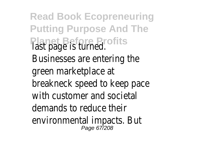**Read Book Ecopreneuring Putting Purpose And The Planet Before Profits** last page is turned. Businesses are entering the green marketplace at breakneck speed to keep pace with customer and societal demands to reduce their environmental impacts. But Page 67/208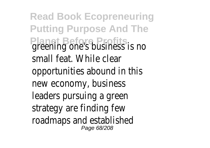**Read Book Ecopreneuring Putting Purpose And The Planet Before Profits** greening one's business is no small feat. While clear opportunities abound in this new economy, business leaders pursuing a green strategy are finding few roadmaps and established Page 68/208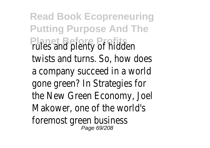**Read Book Ecopreneuring Putting Purpose And The Planet Before Profits** rules and plenty of hidden twists and turns. So, how does a company succeed in a world gone green? In Strategies for the New Green Economy, Joel Makower, one of the world's foremost green business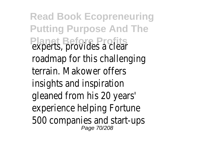**Read Book Ecopreneuring Putting Purpose And The Planet Before Profits** experts, provides a clear roadmap for this challenging terrain. Makower offers insights and inspiration gleaned from his 20 years' experience helping Fortune 500 companies and start-ups Page 70/208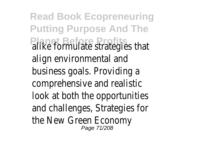**Read Book Ecopreneuring Putting Purpose And The Planet Before Profits** alike formulate strategies that align environmental and business goals. Providing a comprehensive and realistic look at both the opportunities and challenges, Strategies for the New Green Economy Page 71/208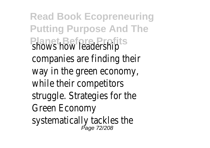**Read Book Ecopreneuring Putting Purpose And The Planet Before Profits** shows how leadership companies are finding their way in the green economy, while their competitors struggle. Strategies for the Green Economy systematically tackles the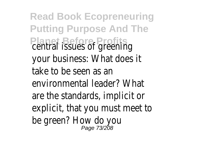**Read Book Ecopreneuring Putting Purpose And The** central issues of greening re Profits your business: What does i take to be seen as an environmental leader? What are the standards, implicit or explicit, that you must meet to be green? How do you Page 73/208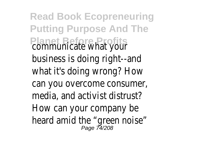**Read Book Ecopreneuring Putting Purpose And The Communicate what your OTE Profits** business is doing right--and what it's doing wrong? How can you overcome consumer media, and activist distrust? How can your company be heard amid the "green noise" Page 74/208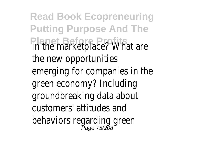**Read Book Ecopreneuring Putting Purpose And The In the marketplace? What are Profits** the new opportunities emerging for companies in the green economy? Including groundbreaking data abou customers' attitudes and behaviors regarding green Page 75/208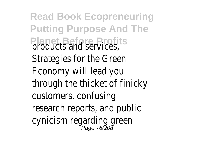**Read Book Ecopreneuring Putting Purpose And The Planet Before Profits** products and services, Strategies for the Green Economy will lead you through the thicket of finicky customers, confusing research reports, and public cynicism regarding green Page 76/208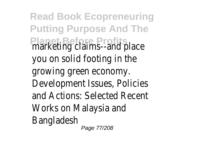**Read Book Ecopreneuring Putting Purpose And The Profits** you on solid footing in the growing green economy. Development Issues, Policies and Actions: Selected Recent Works on Malaysia and Bangladesh Page 77/208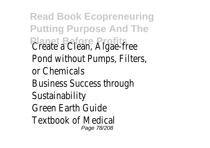**Read Book Ecopreneuring Putting Purpose And The** Create a Clean, Algae-free **Profits** Pond without Pumps, Filters, or Chemicals Business Success through **Sustainability** Green Earth Guide Textbook of Medical Page 78/208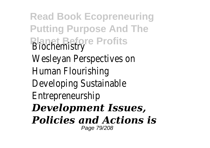**Read Book Ecopreneuring Putting Purpose And The Planet Before Profits** Biochemistry Wesleyan Perspectives on Human Flourishing Developing Sustainable **Entrepreneurship** *Development Issues, Policies and Actions is* Page 79/208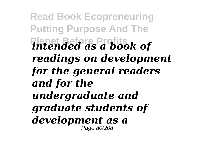**Read Book Ecopreneuring Putting Purpose And The Planet Before Profits** *intended as a book of readings on development for the general readers and for the undergraduate and graduate students of development as a* Page 80/208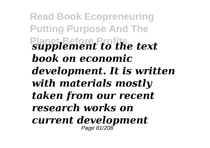**Read Book Ecopreneuring Putting Purpose And The Planet Before Profits** *supplement to the text book on economic development. It is written with materials mostly taken from our recent research works on current development* Page 81/208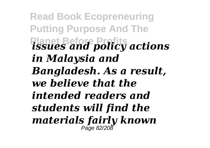**Read Book Ecopreneuring Putting Purpose And The Planet Before Profits** *issues and policy actions in Malaysia and Bangladesh. As a result, we believe that the intended readers and students will find the materials fairly known* Page 82/208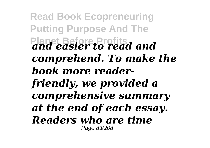**Read Book Ecopreneuring Putting Purpose And The Planet Before Profits** *and easier to read and comprehend. To make the book more readerfriendly, we provided a comprehensive summary at the end of each essay. Readers who are time* Page 83/208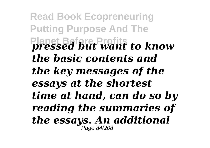**Read Book Ecopreneuring Putting Purpose And The Planet Before Profits** *pressed but want to know the basic contents and the key messages of the essays at the shortest time at hand, can do so by reading the summaries of the essays. An additional* Page 84/208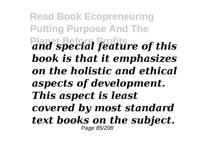**Read Book Ecopreneuring Putting Purpose And The Planet Before Profits** *and special feature of this book is that it emphasizes on the holistic and ethical aspects of development. This aspect is least covered by most standard text books on the subject.* Page 85/208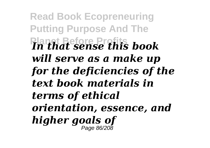**Read Book Ecopreneuring Putting Purpose And The Planet Before Profits** *In that sense this book will serve as a make up for the deficiencies of the text book materials in terms of ethical orientation, essence, and higher goals of* Page 86/208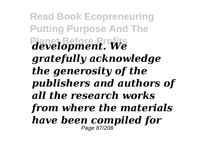**Read Book Ecopreneuring Putting Purpose And The Planet Before Profits** *development. We gratefully acknowledge the generosity of the publishers and authors of all the research works from where the materials have been compiled for* Page 87/208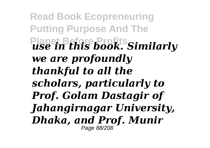**Read Book Ecopreneuring Putting Purpose And The Planet Before Profits** *use in this book. Similarly we are profoundly thankful to all the scholars, particularly to Prof. Golam Dastagir of Jahangirnagar University, Dhaka, and Prof. Munir* Page 88/208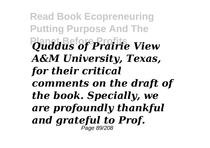**Read Book Ecopreneuring Putting Purpose And The Planet Before Profits** *Quddus of Prairie View A&M University, Texas, for their critical comments on the draft of the book. Specially, we are profoundly thankful and grateful to Prof.* Page 89/208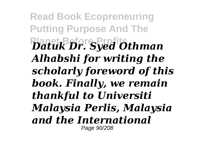**Read Book Ecopreneuring Putting Purpose And The Planet Before Profits** *Datuk Dr. Syed Othman Alhabshi for writing the scholarly foreword of this book. Finally, we remain thankful to Universiti Malaysia Perlis, Malaysia and the International* Page 90/208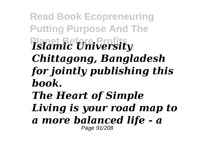**Read Book Ecopreneuring Putting Purpose And The Planet Before Profits** *Islamic University Chittagong, Bangladesh for jointly publishing this book. The Heart of Simple*

*Living is your road map to a more balanced life - a* Page 91/208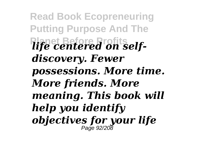**Read Book Ecopreneuring Putting Purpose And The Planet Before Profits** *life centered on selfdiscovery. Fewer possessions. More time. More friends. More meaning. This book will help you identify objectives for your life* Page 92/208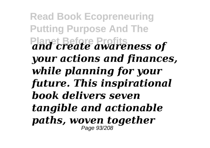**Read Book Ecopreneuring Putting Purpose And The Planet Before Profits** *and create awareness of your actions and finances, while planning for your future. This inspirational book delivers seven tangible and actionable paths, woven together* Page 93/208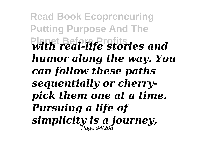**Read Book Ecopreneuring Putting Purpose And The Planet Before Profits** *with real-life stories and humor along the way. You can follow these paths sequentially or cherrypick them one at a time. Pursuing a life of simplicity is a journey,* Page 94/208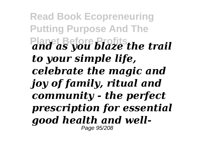**Read Book Ecopreneuring Putting Purpose And The Planet Before Profits** *and as you blaze the trail to your simple life, celebrate the magic and joy of family, ritual and community - the perfect prescription for essential good health and well-*Page 95/208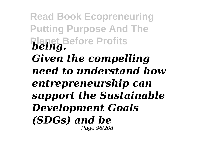**Read Book Ecopreneuring Putting Purpose And The Planet Before Profits** *being. Given the compelling need to understand how entrepreneurship can support the Sustainable Development Goals (SDGs) and be* Page 96/208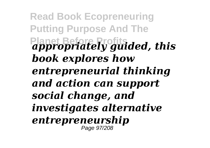**Read Book Ecopreneuring Putting Purpose And The Planet Before Profits** *appropriately guided, this book explores how entrepreneurial thinking and action can support social change, and investigates alternative entrepreneurship* Page 97/208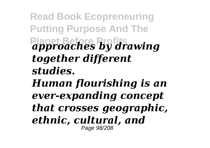**Read Book Ecopreneuring Putting Purpose And The Planet Before Profits** *approaches by drawing together different studies. Human flourishing is an ever-expanding concept that crosses geographic, ethnic, cultural, and* Page 98/208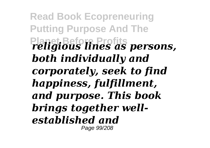**Read Book Ecopreneuring Putting Purpose And The Planet Before Profits** *religious lines as persons, both individually and corporately, seek to find happiness, fulfillment, and purpose. This book brings together wellestablished and* Page 99/208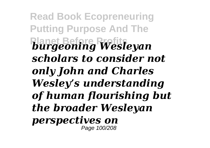**Read Book Ecopreneuring Putting Purpose And The Planet Before Profits** *burgeoning Wesleyan scholars to consider not only John and Charles Wesley's understanding of human flourishing but the broader Wesleyan perspectives on* Page 100/208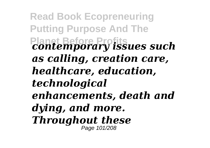**Read Book Ecopreneuring Putting Purpose And The Planet Before Profits** *contemporary issues such as calling, creation care, healthcare, education, technological enhancements, death and dying, and more. Throughout these* Page 101/208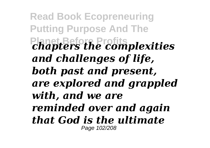**Read Book Ecopreneuring Putting Purpose And The Planet Before Profits** *chapters the complexities and challenges of life, both past and present, are explored and grappled with, and we are reminded over and again that God is the ultimate* Page 102/208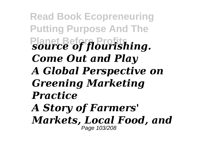**Read Book Ecopreneuring Putting Purpose And The Planet Before Profits** *source of flourishing. Come Out and Play A Global Perspective on Greening Marketing Practice A Story of Farmers' Markets, Local Food, and* Page 103/208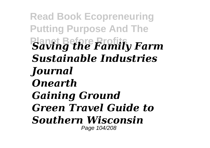**Read Book Ecopreneuring Putting Purpose And The Planet Before Profits** *Saving the Family Farm Sustainable Industries Journal Onearth Gaining Ground Green Travel Guide to Southern Wisconsin* Page 104/208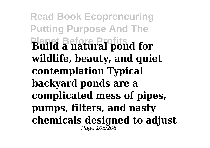**Read Book Ecopreneuring Putting Purpose And The Planet Before Profits Build a natural pond for wildlife, beauty, and quiet contemplation Typical backyard ponds are a complicated mess of pipes, pumps, filters, and nasty chemicals designed to adjust** Page 105/208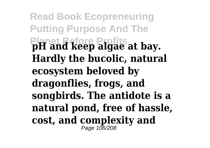**Read Book Ecopreneuring Putting Purpose And The Planet Before Profits pH and keep algae at bay. Hardly the bucolic, natural ecosystem beloved by dragonflies, frogs, and songbirds. The antidote is a natural pond, free of hassle, cost, and complexity and** Page 106/208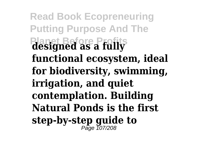**Read Book Ecopreneuring Putting Purpose And The Planet Before Profits designed as a fully functional ecosystem, ideal for biodiversity, swimming, irrigation, and quiet contemplation. Building Natural Ponds is the first step-by-step guide to** Page 107/208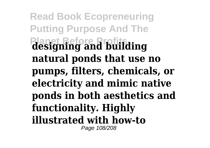**Read Book Ecopreneuring Putting Purpose And The Planet Before Profits designing and building natural ponds that use no pumps, filters, chemicals, or electricity and mimic native ponds in both aesthetics and functionality. Highly illustrated with how-to** Page 108/208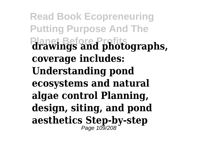**Read Book Ecopreneuring Putting Purpose And The Planet Before Profits drawings and photographs, coverage includes: Understanding pond ecosystems and natural algae control Planning, design, siting, and pond aesthetics Step-by-step** Page 109/208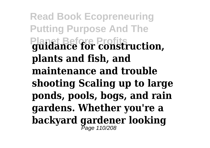**Read Book Ecopreneuring Putting Purpose And The Planet Before Profits guidance for construction, plants and fish, and maintenance and trouble shooting Scaling up to large ponds, pools, bogs, and rain gardens. Whether you're a backyard gardener looking** Page 110/208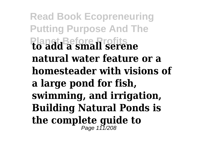**Read Book Ecopreneuring Putting Purpose And The Planet Before Profits to add a small serene natural water feature or a homesteader with visions of a large pond for fish, swimming, and irrigation, Building Natural Ponds is the complete guide to** Page 111/208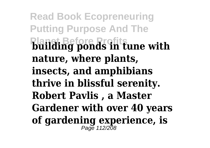**Read Book Ecopreneuring Putting Purpose And The Planet Before Profits building ponds in tune with nature, where plants, insects, and amphibians thrive in blissful serenity. Robert Pavlis , a Master Gardener with over 40 years of gardening experience, is** Page 112/208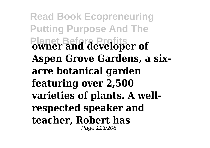**Read Book Ecopreneuring Putting Purpose And The Planet Before Profits owner and developer of Aspen Grove Gardens, a sixacre botanical garden featuring over 2,500 varieties of plants. A wellrespected speaker and teacher, Robert has** Page 113/208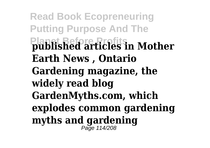**Read Book Ecopreneuring Putting Purpose And The Planet Before Profits published articles in Mother Earth News , Ontario Gardening magazine, the widely read blog GardenMyths.com, which explodes common gardening myths and gardening** Page 114/208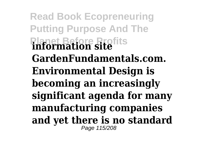**Read Book Ecopreneuring Putting Purpose And The Planet Before Profits information site GardenFundamentals.com. Environmental Design is becoming an increasingly significant agenda for many manufacturing companies and yet there is no standard** Page 115/208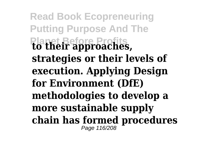**Read Book Ecopreneuring Putting Purpose And The Planet Before Profits to their approaches, strategies or their levels of execution. Applying Design for Environment (DfE) methodologies to develop a more sustainable supply chain has formed procedures** Page 116/208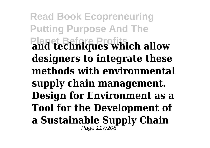**Read Book Ecopreneuring Putting Purpose And The Planet Before Profits and techniques which allow designers to integrate these methods with environmental supply chain management. Design for Environment as a Tool for the Development of a Sustainable Supply Chain** Page 117/208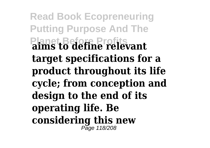**Read Book Ecopreneuring Putting Purpose And The Planet Before Profits aims to define relevant target specifications for a product throughout its life cycle; from conception and design to the end of its operating life. Be considering this new** Page 118/208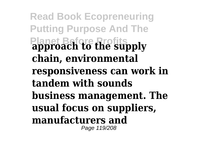**Read Book Ecopreneuring Putting Purpose And The Planet Before Profits approach to the supply chain, environmental responsiveness can work in tandem with sounds business management. The usual focus on suppliers, manufacturers and** Page 119/208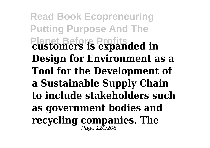**Read Book Ecopreneuring Putting Purpose And The Planet Before Profits customers is expanded in Design for Environment as a Tool for the Development of a Sustainable Supply Chain to include stakeholders such as government bodies and recycling companies. The** Page 120/208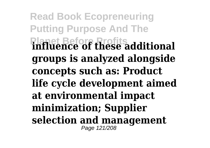**Read Book Ecopreneuring Putting Purpose And The Planet Before Profits influence of these additional groups is analyzed alongside concepts such as: Product life cycle development aimed at environmental impact minimization; Supplier selection and management** Page 121/208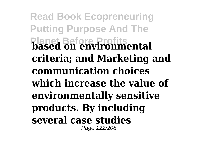**Read Book Ecopreneuring Putting Purpose And The Planet Before Profits based on environmental criteria; and Marketing and communication choices which increase the value of environmentally sensitive products. By including several case studies** Page 122/208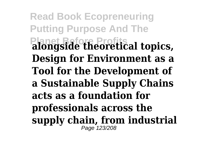**Read Book Ecopreneuring Putting Purpose And The Planet Before Profits alongside theoretical topics, Design for Environment as a Tool for the Development of a Sustainable Supply Chains acts as a foundation for professionals across the supply chain, from industrial** Page 123/208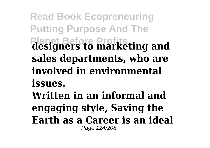**Read Book Ecopreneuring Putting Purpose And The Planet Before Profits designers to marketing and sales departments, who are involved in environmental issues.**

**Written in an informal and engaging style, Saving the Earth as a Career is an ideal** Page 124/208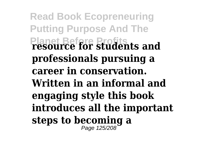**Read Book Ecopreneuring Putting Purpose And The Planet Before Profits resource for students and professionals pursuing a career in conservation. Written in an informal and engaging style this book introduces all the important steps to becoming a** Page 125/208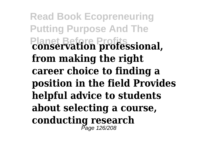**Read Book Ecopreneuring Putting Purpose And The Planet Before Profits conservation professional, from making the right career choice to finding a position in the field Provides helpful advice to students about selecting a course, conducting research** Page 126/208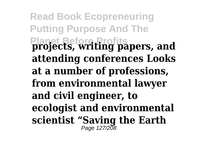**Read Book Ecopreneuring Putting Purpose And The Planet Before Profits projects, writing papers, and attending conferences Looks at a number of professions, from environmental lawyer and civil engineer, to ecologist and environmental scientist "Saving the Earth** Page 127/208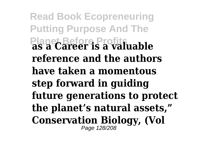**Read Book Ecopreneuring Putting Purpose And The Planet Before Profits as a Career is a valuable reference and the authors have taken a momentous step forward in guiding future generations to protect the planet's natural assets," Conservation Biology, (Vol** Page 128/208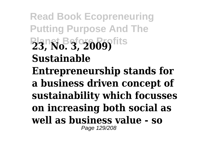**Read Book Ecopreneuring Putting Purpose And The Planet Before Profits 23, No. 3, 2009) Sustainable Entrepreneurship stands for a business driven concept of sustainability which focusses on increasing both social as well as business value - so** Page 129/208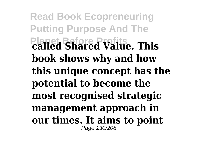**Read Book Ecopreneuring Putting Purpose And The Planet Before Profits called Shared Value. This book shows why and how this unique concept has the potential to become the most recognised strategic management approach in our times. It aims to point** Page 130/208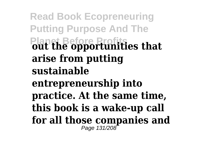**Read Book Ecopreneuring Putting Purpose And The Planet Before Profits out the opportunities that arise from putting sustainable entrepreneurship into practice. At the same time, this book is a wake-up call for all those companies and** Page 131/208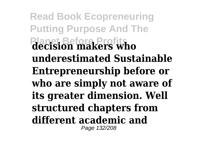**Read Book Ecopreneuring Putting Purpose And The Planet Before Profits decision makers who underestimated Sustainable Entrepreneurship before or who are simply not aware of its greater dimension. Well structured chapters from different academic and** Page 132/208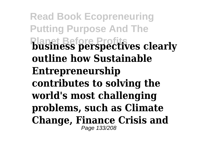**Read Book Ecopreneuring Putting Purpose And The Planet Before Profits business perspectives clearly outline how Sustainable Entrepreneurship contributes to solving the world's most challenging problems, such as Climate Change, Finance Crisis and** Page 133/208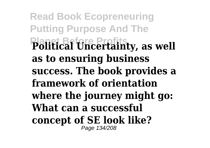**Read Book Ecopreneuring Putting Purpose And The Planet Before Profits Political Uncertainty, as well as to ensuring business success. The book provides a framework of orientation where the journey might go: What can a successful concept of SE look like?** Page 134/208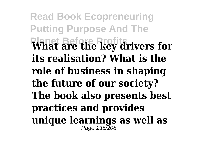**Read Book Ecopreneuring Putting Purpose And The Planet Before Profits What are the key drivers for its realisation? What is the role of business in shaping the future of our society? The book also presents best practices and provides unique learnings as well as** Page 135/208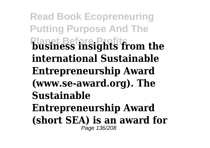**Read Book Ecopreneuring Putting Purpose And The Planet Before Profits business insights from the international Sustainable Entrepreneurship Award (www.se-award.org). The Sustainable Entrepreneurship Award (short SEA) is an award for** Page 136/208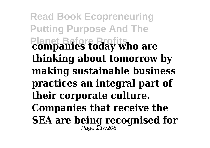**Read Book Ecopreneuring Putting Purpose And The Planet Before Profits companies today who are thinking about tomorrow by making sustainable business practices an integral part of their corporate culture. Companies that receive the SEA are being recognised for** Page 137/208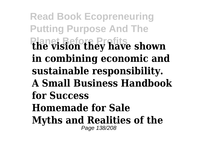**Read Book Ecopreneuring Putting Purpose And The Planet Before Profits the vision they have shown in combining economic and sustainable responsibility. A Small Business Handbook for Success Homemade for Sale Myths and Realities of the** Page 138/208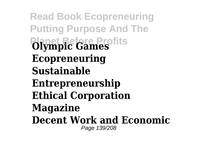**Read Book Ecopreneuring Putting Purpose And The Planet Before Profits Olympic Games Ecopreneuring Sustainable Entrepreneurship Ethical Corporation Magazine Decent Work and Economic** Page 139/208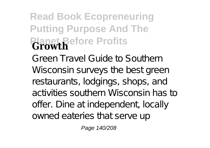## **Read Book Ecopreneuring Putting Purpose And The Planet Before Profits Growth**

Green Travel Guide to Southern Wisconsin surveys the best green restaurants, lodgings, shops, and activities southern Wisconsin has to offer. Dine at independent, locally owned eateries that serve up

Page 140/208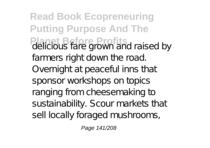**Read Book Ecopreneuring Putting Purpose And The Planet Before Profits** delicious fare grown and raised by farmers right down the road. Overnight at peaceful inns that sponsor workshops on topics ranging from cheesemaking to sustainability. Scour markets that sell locally foraged mushrooms,

Page 141/208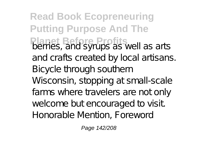**Read Book Ecopreneuring Putting Purpose And The Planet Before Profits** berries, and syrups as well as arts and crafts created by local artisans. Bicycle through southern Wisconsin, stopping at small-scale farms where travelers are not only welcome but encouraged to visit. Honorable Mention, Foreword

Page 142/208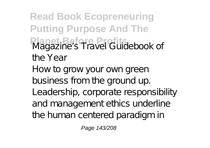**Read Book Ecopreneuring Putting Purpose And The Planet Before Profits** Magazine's Travel Guidebook of the Year How to grow your own green business from the ground up. Leadership, corporate responsibility and management ethics underline the human centered paradigm in

Page 143/208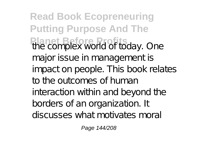**Read Book Ecopreneuring Putting Purpose And The Planet Before Profits** the complex world of today. One major issue in management is impact on people. This book relates to the outcomes of human interaction within and beyond the borders of an organization. It discusses what motivates moral

Page 144/208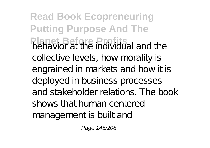**Read Book Ecopreneuring Putting Purpose And The Planet Before Profits** behavior at the individual and the collective levels, how morality is engrained in markets and how it is deployed in business processes and stakeholder relations. The book shows that human centered management is built and

Page 145/208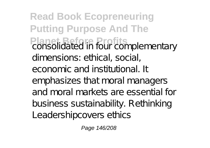**Read Book Ecopreneuring Putting Purpose And The Planet Before Profits** consolidated in four complementary dimensions: ethical, social, economic and institutional. It emphasizes that moral managers and moral markets are essential for business sustainability. Rethinking Leadershipcovers ethics

Page 146/208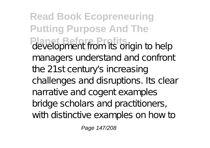**Read Book Ecopreneuring Putting Purpose And The Planet Before Profits** development from its origin to help managers understand and confront the 21st century's increasing challenges and disruptions. Its clear narrative and cogent examples bridge scholars and practitioners, with distinctive examples on how to

Page 147/208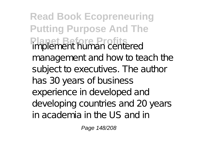**Read Book Ecopreneuring Putting Purpose And The Planet Before Profits** implement human centered management and how to teach the subject to executives. The author has 30 years of business experience in developed and developing countries and 20 years in academia in the US and in

Page 148/208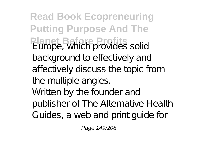**Read Book Ecopreneuring Putting Purpose And The Planet Before Profits** Europe, which provides solid background to effectively and affectively discuss the topic from the multiple angles. Written by the founder and publisher of The Alternative Health Guides, a web and print guide for

Page 149/208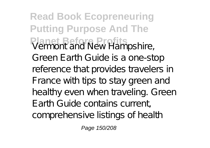**Read Book Ecopreneuring Putting Purpose And The Planet Before Profits** Vermont and New Hampshire, Green Earth Guide is a one-stop reference that provides travelers in France with tips to stay green and healthy even when traveling. Green Earth Guide contains current, comprehensive listings of health

Page 150/208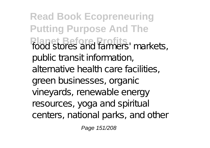**Read Book Ecopreneuring Putting Purpose And The Planet Before Profits** food stores and farmers' markets, public transit information, alternative health care facilities, green businesses, organic vineyards, renewable energy resources, yoga and spiritual centers, national parks, and other

Page 151/208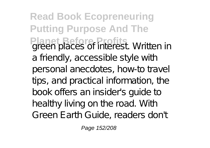**Read Book Ecopreneuring Putting Purpose And The Planet Before School** green places of interest. Written in a friendly, accessible style with personal anecdotes, how-to travel tips, and practical information, the book offers an insider's guide to healthy living on the road. With Green Earth Guide, readers don't

Page 152/208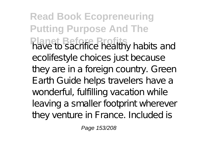**Read Book Ecopreneuring Putting Purpose And The Planet Before Profits** have to sacrifice healthy habits and ecolifestyle choices just because they are in a foreign country. Green Earth Guide helps travelers have a wonderful, fulfilling vacation while leaving a smaller footprint wherever they venture in France. Included is

Page 153/208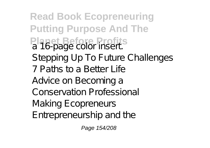**Read Book Ecopreneuring Putting Purpose And The Planet Before Profits** a 16-page color insert. Stepping Up To Future Challenges 7 Paths to a Better Life Advice on Becoming a Conservation Professional Making Ecopreneurs Entrepreneurship and the

Page 154/208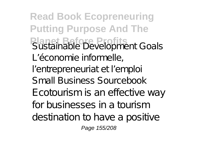**Read Book Ecopreneuring Putting Purpose And The Planet Before Profits** Sustainable Development Goals L'économie informelle, l'entrepreneuriat et l'emploi Small Business Sourcebook Ecotourism is an effective way for businesses in a tourism destination to have a positive Page 155/208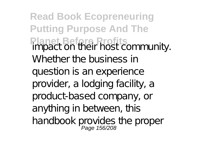**Read Book Ecopreneuring Putting Purpose And The** Planet Before Profits<br>impact on their host community. Whether the business in question is an experience provider, a lodging facility, a product-based company, or anything in between, this handbook provides the proper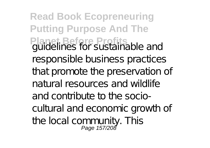**Read Book Ecopreneuring Putting Purpose And The Planet Before Profits** guidelines for sustainable and responsible business practices that promote the preservation of natural resources and wildlife and contribute to the sociocultural and economic growth of the local community. This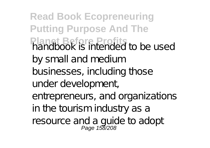**Read Book Ecopreneuring Putting Purpose And The Planet Before Profits** handbook is intended to be used by small and medium businesses, including those under development, entrepreneurs, and organizations in the tourism industry as a resource and a guide to adopt<br>Page 158/208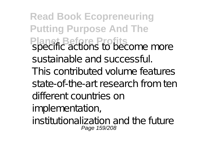**Read Book Ecopreneuring Putting Purpose And The Planet Before Profits**<br>specific actions to become more sustainable and successful. This contributed volume features state-of-the-art research from ten different countries on implementation, institutionalization and the future Page 159/208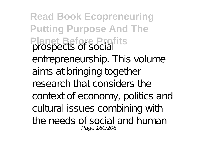**Read Book Ecopreneuring Putting Purpose And The Planet Before Profits** prospects of social entrepreneurship. This volume aims at bringing together research that considers the context of economy, politics and cultural issues combining with the needs of social and human Page 160/208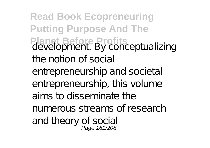**Read Book Ecopreneuring Putting Purpose And The Planet Before Profits** development. By conceptualizing the notion of social entrepreneurship and societal entrepreneurship, this volume aims to disseminate the numerous streams of research and theory of social<br>Page 161/208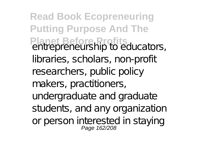**Read Book Ecopreneuring Putting Purpose And The Planet Before Profits** entrepreneurship to educators, libraries, scholars, non-profit researchers, public policy makers, practitioners, undergraduate and graduate students, and any organization or person interested in staying<br>Page 162/208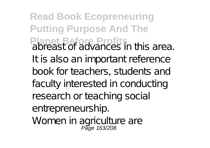**Read Book Ecopreneuring Putting Purpose And The Planet Before Profits** abreast of advances in this area. It is also an important reference book for teachers, students and faculty interested in conducting research or teaching social entrepreneurship. Women in agriculture are<br>
Page 163/208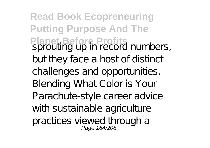**Read Book Ecopreneuring Putting Purpose And The Planet Before Profits**<br>sprouting up in record numbers, but they face a host of distinct challenges and opportunities. Blending What Color is Your Parachute-style career advice with sustainable agriculture practices viewed through a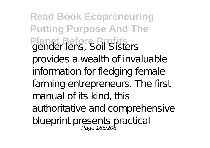**Read Book Ecopreneuring Putting Purpose And The Planet Before Profits** gender lens, Soil Sisters provides a wealth of invaluable information for fledging female farming entrepreneurs. The first manual of its kind, this authoritative and comprehensive blueprint presents practical<br>Page 165/208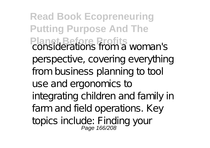**Read Book Ecopreneuring Putting Purpose And The Planet Before Profits** considerations from a woman's perspective, covering everything from business planning to tool use and ergonomics to integrating children and family in farm and field operations. Key topics include: Finding your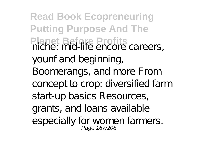**Read Book Ecopreneuring Putting Purpose And The Planet Before Profits** niche: mid-life encore careers, younf and beginning, Boomerangs, and more From concept to crop: diversified farm start-up basics Resources, grants, and loans available especially for women farmers.<br>Page 167/208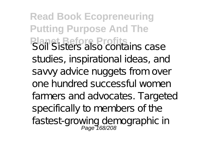**Read Book Ecopreneuring Putting Purpose And The Planet Before Profits**<br>Soil Sisters also contains case studies, inspirational ideas, and savvy advice nuggets from over one hundred successful women farmers and advocates. Targeted specifically to members of the fastest-growing demographic in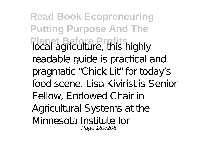**Read Book Ecopreneuring Putting Purpose And The Planet Before Profits** local agriculture, this highly readable guide is practical and pragmatic "Chick Lit" for today's food scene. Lisa Kivirist is Senior Fellow, Endowed Chair in Agricultural Systems at the Minnesota Institute for Page 169/208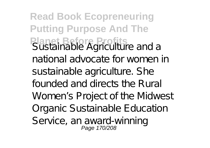**Read Book Ecopreneuring Putting Purpose And The Planet Before Profits** Sustainable Agriculture and a national advocate for women in sustainable agriculture. She founded and directs the Rural Women's Project of the Midwest Organic Sustainable Education Service, an award-winning<br>Page 170/208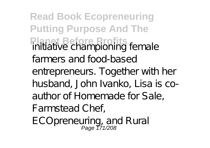**Read Book Ecopreneuring Putting Purpose And The Planet Before Profits** initiative championing female farmers and food-based entrepreneurs. Together with her husband, John Ivanko, Lisa is coauthor of Homemade for Sale, Farmstead Chef, ECOpreneuring, and Rural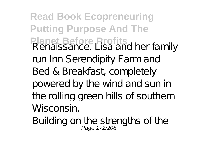**Read Book Ecopreneuring Putting Purpose And The Planet Before Profits** Renaissance. Lisa and her family run Inn Serendipity Farm and Bed & Breakfast, completely powered by the wind and sun in the rolling green hills of southern Wisconsin.

Building on the strengths of the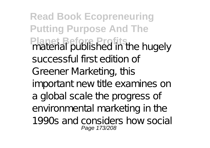**Read Book Ecopreneuring Putting Purpose And The Planet Before Profits** material published in the hugely successful first edition of Greener Marketing, this important new title examines on a global scale the progress of environmental marketing in the 1990s and considers how social Page 173/208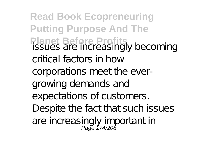**Read Book Ecopreneuring Putting Purpose And The Planet Before Profits** issues are increasingly becoming critical factors in how corporations meet the evergrowing demands and expectations of customers. Despite the fact that such issues are increasingly important in<br>Page 174/208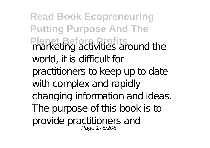**Read Book Ecopreneuring Putting Purpose And The Planet Before Profits** marketing activities around the world, it is difficult for practitioners to keep up to date with complex and rapidly changing information and ideas. The purpose of this book is to provide practitioners and<br>Page 175/208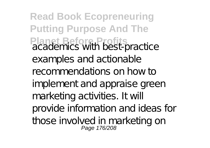**Read Book Ecopreneuring Putting Purpose And The Planet Before Profits** academics with best-practice examples and actionable recommendations on how to implement and appraise green marketing activities. It will provide information and ideas for those involved in marketing on<br>Page 176/208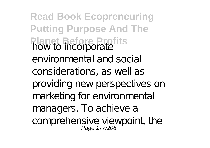**Read Book Ecopreneuring Putting Purpose And The Planet Before Profits** how to incorporate environmental and social considerations, as well as providing new perspectives on marketing for environmental managers. To achieve a comprehensive viewpoint, the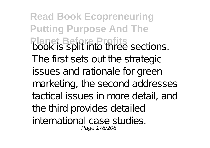**Read Book Ecopreneuring Putting Purpose And The Planet Before Profits** book is split into three sections. The first sets out the strategic issues and rationale for green marketing, the second addresses tactical issues in more detail, and the third provides detailed international case studies. Page 178/208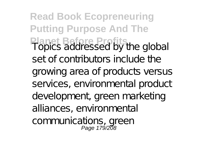**Read Book Ecopreneuring Putting Purpose And The Planet Before Profits** Topics addressed by the global set of contributors include the growing area of products versus services, environmental product development, green marketing alliances, environmental communications, green<br>Page 179/208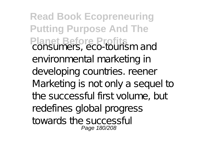**Read Book Ecopreneuring Putting Purpose And The Planet Before Profits** consumers, eco-tourism and environmental marketing in developing countries. reener Marketing is not only a sequel to the successful first volume, but redefines global progress towards the successful Page 180/208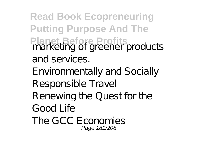**Read Book Ecopreneuring Putting Purpose And The Planet Before Profits** marketing of greener products and services. Environmentally and Socially Responsible Travel Renewing the Quest for the Good Life The GCC Economies Page 181/208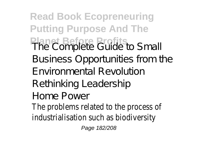**Read Book Ecopreneuring Putting Purpose And The Planet Before Profits** The Complete Guide to Small Business Opportunities from the Environmental Revolution Rethinking Leadership Home Power The problems related to the process of industrialisation such as biodiversity

Page 182/208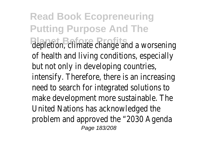**Read Book Ecopreneuring Putting Purpose And The** depletion, climate change and a worsening of health and living conditions, especially but not only in developing countries, intensify. Therefore, there is an increasing need to search for integrated solutions to make development more sustainable. The United Nations has acknowledged the problem and approved the "2030 Agenda Page 183/208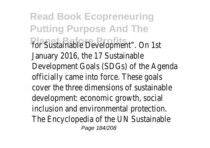**Read Book Ecopreneuring Putting Purpose And The Planet Before Profits** for Sustainable Development". On 1st January 2016, the 17 Sustainable Development Goals (SDGs) of the Agenda officially came into force. These goals cover the three dimensions of sustainable development: economic growth, social inclusion and environmental protection. The Encyclopedia of the UN Sustainable Page 184/208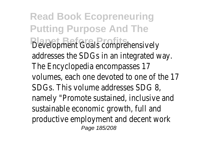**Read Book Ecopreneuring Putting Purpose And The Planet Before Profits** Development Goals comprehensively addresses the SDGs in an integrated way. The Encyclopedia encompasses 17 volumes, each one devoted to one of the 17 SDGs. This volume addresses SDG 8, namely "Promote sustained, inclusive and sustainable economic growth, full and productive employment and decent work Page 185/208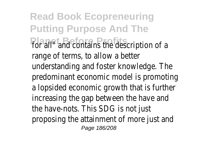**Read Book Ecopreneuring Putting Purpose And The Planet Before Profits** for all" and contains the description of a range of terms, to allow a better understanding and foster knowledge. The predominant economic model is promoting a lopsided economic growth that is further increasing the gap between the have and the have-nots. This SDG is not just proposing the attainment of more just and Page 186/208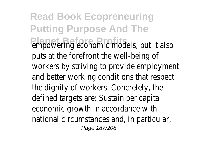**Read Book Ecopreneuring Putting Purpose And The Planet Before Profits** empowering economic models, but it also puts at the forefront the well-being of workers by striving to provide employment and better working conditions that respect the dignity of workers. Concretely, the defined targets are: Sustain per capita economic growth in accordance with national circumstances and, in particular, Page 187/208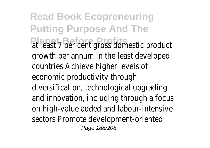**Read Book Ecopreneuring Putting Purpose And The Planet Before Profits** at least 7 per cent gross domestic product growth per annum in the least developed countries Achieve higher levels of economic productivity through diversification, technological upgrading and innovation, including through a focus on high-value added and labour-intensive sectors Promote development-oriented Page 188/208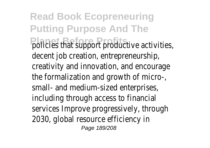**Read Book Ecopreneuring Putting Purpose And The** Policies that support productive activities, decent job creation, entrepreneurship, creativity and innovation, and encourage the formalization and growth of micro-, small- and medium-sized enterprises, including through access to financial services Improve progressively, through 2030, global resource efficiency in Page 189/208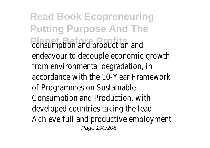**Read Book Ecopreneuring Putting Purpose And The Profits** consumption and production and endeavour to decouple economic growth from environmental degradation, in accordance with the 10-Year Framework of Programmes on Sustainable Consumption and Production, with developed countries taking the lead Achieve full and productive employment Page 190/208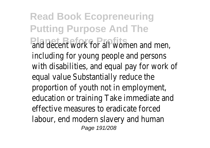**Read Book Ecopreneuring Putting Purpose And The Planet Before Profits** and decent work for all women and men, including for young people and persons with disabilities, and equal pay for work of equal value Substantially reduce the proportion of youth not in employment, education or training Take immediate and effective measures to eradicate forced labour, end modern slavery and human Page 191/208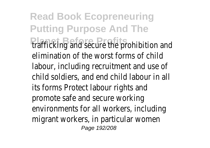**Read Book Ecopreneuring Putting Purpose And The Planet Before Profits** trafficking and secure the prohibition and elimination of the worst forms of child labour, including recruitment and use of child soldiers, and end child labour in all its forms Protect labour rights and promote safe and secure working environments for all workers, including migrant workers, in particular women Page 192/208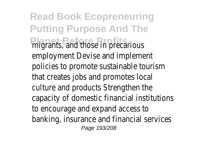**Read Book Ecopreneuring Putting Purpose And The Phigrants, and those in precarious** employment Devise and implement policies to promote sustainable tourism that creates jobs and promotes local culture and products Strengthen the capacity of domestic financial institutions to encourage and expand access to banking, insurance and financial services Page 193/208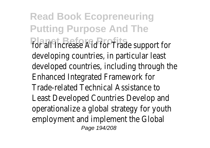**Read Book Ecopreneuring Putting Purpose And The For all Increase Aid for Trade support for** developing countries, in particular least developed countries, including through the Enhanced Integrated Framework for Trade-related Technical Assistance to Least Developed Countries Develop and operationalize a global strategy for youth employment and implement the Global Page 194/208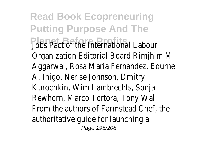**Read Book Ecopreneuring Putting Purpose And The Planet Before Profit Spanned Labour** Organization Editorial Board Rimjhim M Aggarwal, Rosa Maria Fernandez, Edurne A. Inigo, Nerise Johnson, Dmitry Kurochkin, Wim Lambrechts, Sonja Rewhorn, Marco Tortora, Tony Wall From the authors of Farmstead Chef, the authoritative guide for launching a Page 195/208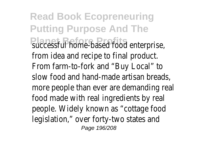**Read Book Ecopreneuring Putting Purpose And The Planet Before Profits** successful home-based food enterprise, from idea and recipe to final product. From farm-to-fork and "Buy Local" to slow food and hand-made artisan breads, more people than ever are demanding real food made with real ingredients by real people. Widely known as "cottage food legislation," over forty-two states and Page 196/208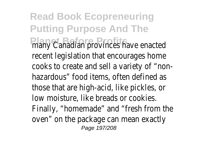**Read Book Ecopreneuring Putting Purpose And The Plance Before Provinces** have enacted recent legislation that encourages home cooks to create and sell a variety of "nonhazardous" food items, often defined as those that are high-acid, like pickles, or low moisture, like breads or cookies. Finally, "homemade" and "fresh from the oven" on the package can mean exactly Page 197/208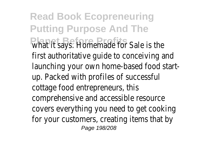**Read Book Ecopreneuring Putting Purpose And The Planet Before Profits** what it says. Homemade for Sale is the first authoritative guide to conceiving and launching your own home-based food startup. Packed with profiles of successful cottage food entrepreneurs, this comprehensive and accessible resource covers everything you need to get cooking for your customers, creating items that by Page 198/208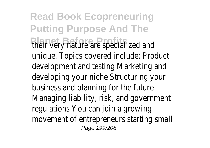**Read Book Ecopreneuring Putting Purpose And The Planet Before Profits** their very nature are specialized and unique. Topics covered include: Product development and testing Marketing and developing your niche Structuring your business and planning for the future Managing liability, risk, and government regulations You can join a growing movement of entrepreneurs starting small Page 199/208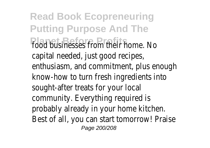**Read Book Ecopreneuring Putting Purpose And The Planet Before Profits** food businesses from their home. No capital needed, just good recipes, enthusiasm, and commitment, plus enough know-how to turn fresh ingredients into sought-after treats for your local community. Everything required is probably already in your home kitchen. Best of all, you can start tomorrow! Praise Page 200/208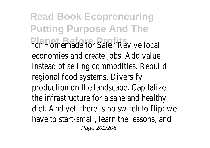**Read Book Ecopreneuring Putting Purpose And The Planet Before Profits** for Homemade for Sale "Revive local economies and create jobs. Add value instead of selling commodities. Rebuild regional food systems. Diversify production on the landscape. Capitalize the infrastructure for a sane and healthy diet. And yet, there is no switch to flip: we have to start-small, learn the lessons, and Page 201/208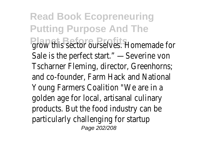**Read Book Ecopreneuring Putting Purpose And The Planet Before Profits** grow this sector ourselves. Homemade for Sale is the perfect start." —Severine von Tscharner Fleming, director, Greenhorns; and co-founder, Farm Hack and National Young Farmers Coalition "We are in a golden age for local, artisanal culinary products. But the food industry can be particularly challenging for startup Page 202/208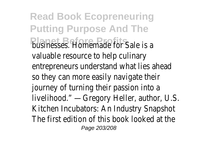**Read Book Ecopreneuring Putting Purpose And The Planet Before Profits** Sale is a valuable resource to help culinary entrepreneurs understand what lies ahead so they can more easily navigate their journey of turning their passion into a livelihood." —Gregory Heller, author, U.S. Kitchen Incubators: An Industry Snapshot The first edition of this book looked at the Page 203/208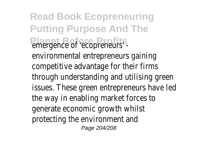**Read Book Ecopreneuring Putting Purpose And The** Planet Before **Profits** environmental entrepreneurs gaining competitive advantage for their firms through understanding and utilising green issues. These green entrepreneurs have led the way in enabling market forces to generate economic growth whilst protecting the environment and Page 204/208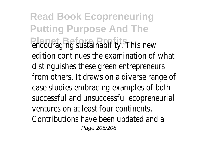**Read Book Ecopreneuring Putting Purpose And The Profits** encouraging sustainability. This new edition continues the examination of what distinguishes these green entrepreneurs from others. It draws on a diverse range of case studies embracing examples of both successful and unsuccessful ecopreneurial ventures on at least four continents. Contributions have been updated and a Page 205/208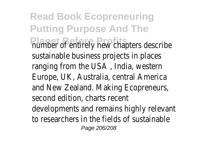**Read Book Ecopreneuring Putting Purpose And The** number of entirely new chapters describe sustainable business projects in places ranging from the USA , India, western Europe, UK, Australia, central America and New Zealand. Making Ecopreneurs, second edition, charts recent developments and remains highly relevant to researchers in the fields of sustainable Page 206/208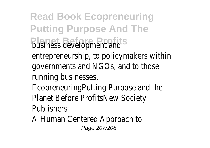**Read Book Ecopreneuring Putting Purpose And The Pusiness development and** entrepreneurship, to policymakers within governments and NGOs, and to those running businesses.

EcopreneuringPutting Purpose and the Planet Before ProfitsNew Society Publishers

A Human Centered Approach to Page 207/208